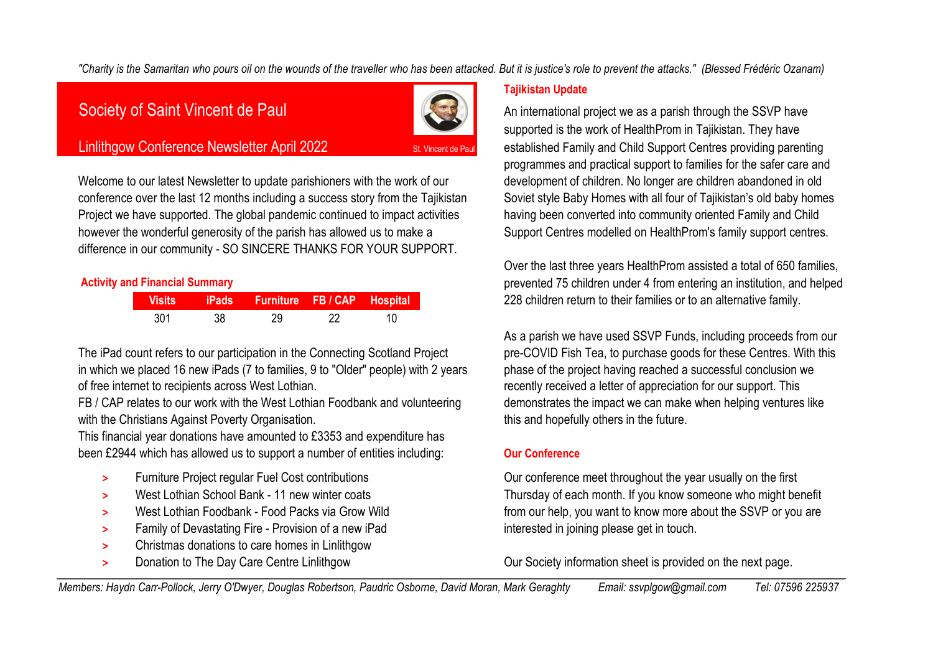"Charity is the Samaritan who pours oil on the wounds of the traveller who has been attacked. But it is justice's role to prevent the attacks." (Blessed Frédéric Ozanam)



Welcome to our latest Newsletter to update parishioners with the work of our development of children. No longer are children abandoned in old conference over the last 12 months including a success story from the Tajikistan Soviet style Baby Homes with all four of Tajikistan's old baby homes Project we have supported. The global pandemic continued to impact activities having been converted into community oriented Family and Child however the wonderful generosity of the parish has allowed us to make a **64 Support Centres modelled on HealthProm's family support centres.** difference in our community - SO SINCERE THANKS FOR YOUR SUPPORT.

|     |      | Visits iPads Furniture FB / CAP Hospital |  |
|-----|------|------------------------------------------|--|
| 301 | - 38 |                                          |  |

The iPad count refers to our participation in the Connecting Scotland Project pre-COVID Fish Tea, to purchase goods for these Centres. With this in which we placed 16 new iPads (7 to families, 9 to "Older" people) with 2 years phase of the project having reached a successful conclusion we of free internet to recipients across West Lothian.  $\blacksquare$  recently received a letter of appreciation for our support. This

FB / CAP relates to our work with the West Lothian Foodbank and volunteering demonstrates the impact we can make when helping ventures like with the Christians Against Poverty Organisation. **65 and 55 years in the future** with this and hopefully others in the future.

This financial year donations have amounted to £3353 and expenditure has <sup>76</sup> been £2944 which has allowed us to support a number of entities including: **Our Conference**

- 
- 
- 
- **>** Family of Devastating Fire Provision of a new iPad **61 interested in joining please get in touch.**
- **>** Christmas donations to care homes in Linlithgow
- 

### **Tajikistan Update**

Society of Saint Vincent de Paul 61 An international project we as a parish through the SSVP have supported is the work of HealthProm in Tajikistan. They have Linlithgow Conference Newsletter April 2022 St. Vincent de Paul established Family and Child Support Centres providing parenting programmes and practical support to families for the safer care and

Over the last three years HealthProm assisted a total of 650 families, **Activity and Financial Summary** 72 prevented 75 children under 4 from entering an institution, and helped **Visits iPads Furniture FB / CAP Hospital** 66 228 children return to their families or to an alternative family.

As a parish we have used SSVP Funds, including proceeds from our

**>** Furniture Project regular Fuel Cost contributions **61 Our conference meet throughout the year usually on the first >** West Lothian School Bank - 11 new winter coats **61 Thursday of each month. If you know someone who might benefit >** West Lothian Foodbank - Food Packs via Grow Wild **63 from our help**, you want to know more about the SSVP or you are

**>** Donation to The Day Care Centre Linlithgow **Our Society information sheet is provided on the next page.** 

Members: Haydn Carr-Pollock, Jerry O'Dwyer, Douglas Robertson, Paudric Osborne, David Moran, Mark Geraghty Email: ssyplgow@gmail.com Tel: 07596 225937